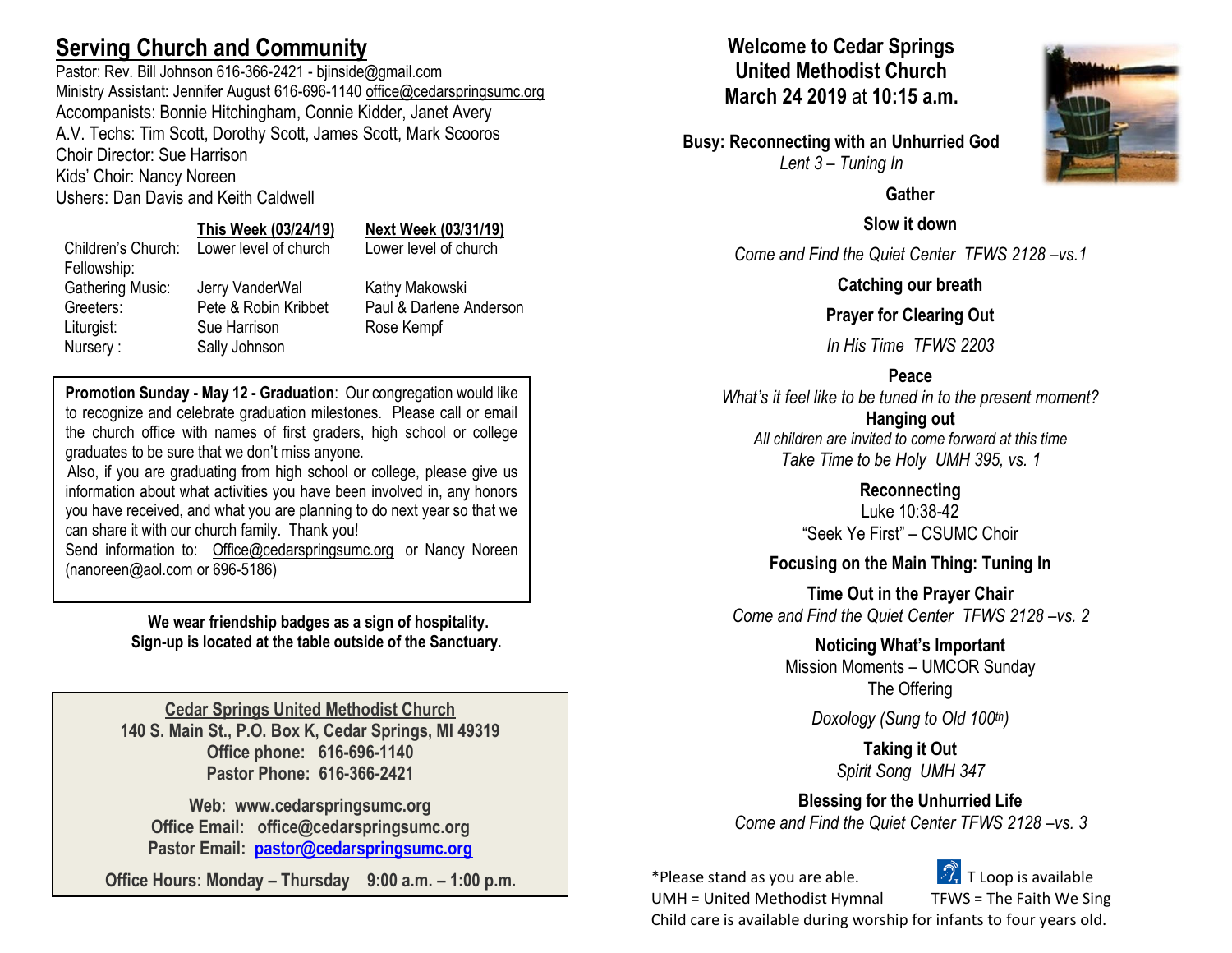# **Serving Church and Community**

Pastor: Rev. Bill Johnson 616-366-2421 - bjinside@gmail.com Ministry Assistant: Jennifer August 616-696-1140 [office@cedarspringsumc.org](mailto:office@cedarspringsumc.org) Accompanists: Bonnie Hitchingham, Connie Kidder, Janet Avery A.V. Techs: Tim Scott, Dorothy Scott, James Scott, Mark Scooros Choir Director: Sue Harrison

Kids' Choir: Nancy Noreen

Ushers: Dan Davis and Keith Caldwell

Sally Johnson

**This Week (03/24/19) Next Week (03/31/19)** ch: Lower level of church: Lower level of church

Jerry VanderWal **Kathy Makowski** Pete & Robin Kribbet Paul & Darlene Anderson Sue Harrison Rose Kempf

**Promotion Sunday - May 12 - Graduation**: Our congregation would like to recognize and celebrate graduation milestones. Please call or email the church office with names of first graders, high school or college graduates to be sure that we don't miss anyone.

Also, if you are graduating from high school or college, please give us information about what activities you have been involved in, any honors you have received, and what you are planning to do next year so that we can share it with our church family. Thank you!

Send information to: [Office@cedarspringsumc.org](mailto:Office@cedarspringsumc.org) or Nancy Noreen [\(nanoreen@aol.com](mailto:nanoreen@aol.com) or 696-5186)

> **We wear friendship badges as a sign of hospitality. Sign-up is located at the table outside of the Sanctuary.**

**Cedar Springs United Methodist Church 140 S. Main St., P.O. Box K, Cedar Springs, MI 49319 Office phone: 616-696-1140 Pastor Phone: 616-366-2421**

**Web: www.cedarspringsumc.org Office Email: office@cedarspringsumc.org Pastor Email: [pastor@cedarspringsumc.org](mailto:pastor@cedarspringsumc.org)**

**Office Hours: Monday – Thursday 9:00 a.m. – 1:00 p.m.**

## **Welcome to Cedar Springs United Methodist Church March 24 2019** at **10:15 a.m.**

**Busy: Reconnecting with an Unhurried God** *Lent 3 – Tuning In*



**Slow it down**

*Come and Find the Quiet Center TFWS 2128 –vs.1*

**Catching our breath**

**Prayer for Clearing Out**

*In His Time TFWS 2203*

## **Peace**

*What's it feel like to be tuned in to the present moment?* **Hanging out** *All children are invited to come forward at this time Take Time to be Holy UMH 395, vs. 1*

> **Reconnecting** Luke 10:38-42 "Seek Ye First" – CSUMC Choir

**Focusing on the Main Thing: Tuning In**

**Time Out in the Prayer Chair** *Come and Find the Quiet Center TFWS 2128 –vs. 2*

> **Noticing What's Important** Mission Moments – UMCOR Sunday The Offering

> > *Doxology (Sung to Old 100th)*

**Taking it Out** *Spirit Song UMH 347*

**Blessing for the Unhurried Life** *Come and Find the Quiet Center TFWS 2128 –vs. 3*

\*Please stand as you are able. The  $\mathbb{Z}$ . T Loop is available

UMH = United Methodist Hymnal TFWS = The Faith We Sing

Child care is available during worship for infants to four years old.